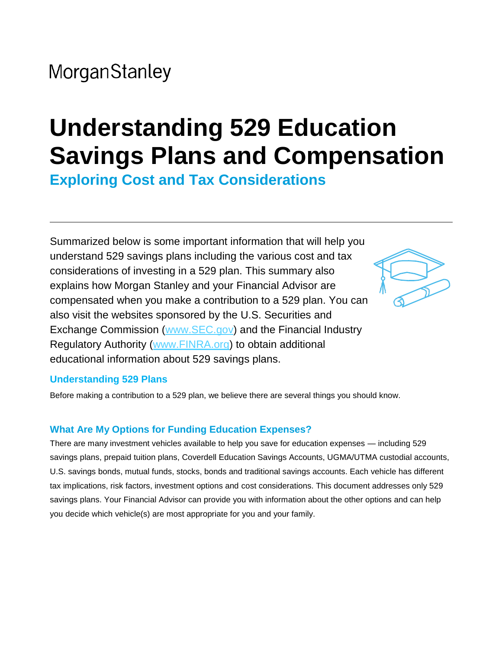# **Understanding 529 Education Savings Plans and Compensation**

**Exploring Cost and Tax Considerations**

Summarized below is some important information that will help you understand 529 savings plans including the various cost and tax considerations of investing in a 529 plan. This summary also explains how Morgan Stanley and your Financial Advisor are compensated when you make a contribution to a 529 plan. You can also visit the websites sponsored by the U.S. Securities and Exchange Commission (www.SEC.gov) and the Financial Industry Regulatory Authority (www.FINRA.org) to obtain additional educational information about 529 savings plans.



#### **Understanding 529 Plans**

Before making a contribution to a 529 plan, we believe there are several things you should know.

#### **What Are My Options for Funding Education Expenses?**

There are many investment vehicles available to help you save for education expenses — including 529 savings plans, prepaid tuition plans, Coverdell Education Savings Accounts, UGMA/UTMA custodial accounts, U.S. savings bonds, mutual funds, stocks, bonds and traditional savings accounts. Each vehicle has different tax implications, risk factors, investment options and cost considerations. This document addresses only 529 savings plans. Your Financial Advisor can provide you with information about the other options and can help you decide which vehicle(s) are most appropriate for you and your family.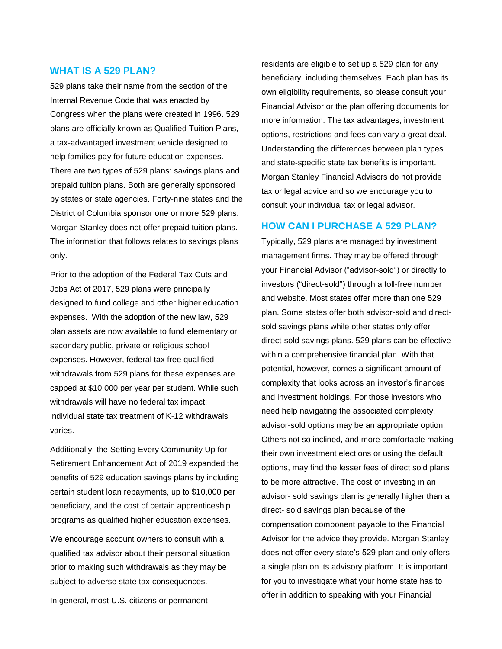#### **WHAT IS A 529 PLAN?**

529 plans take their name from the section of the Internal Revenue Code that was enacted by Congress when the plans were created in 1996. 529 plans are officially known as Qualified Tuition Plans, a tax-advantaged investment vehicle designed to help families pay for future education expenses. There are two types of 529 plans: savings plans and prepaid tuition plans. Both are generally sponsored by states or state agencies. Forty-nine states and the District of Columbia sponsor one or more 529 plans. Morgan Stanley does not offer prepaid tuition plans. The information that follows relates to savings plans only.

Prior to the adoption of the Federal Tax Cuts and Jobs Act of 2017, 529 plans were principally designed to fund college and other higher education expenses. With the adoption of the new law, 529 plan assets are now available to fund elementary or secondary public, private or religious school expenses. However, federal tax free qualified withdrawals from 529 plans for these expenses are capped at \$10,000 per year per student. While such withdrawals will have no federal tax impact; individual state tax treatment of K-12 withdrawals varies.

Additionally, the Setting Every Community Up for Retirement Enhancement Act of 2019 expanded the benefits of 529 education savings plans by including certain student loan repayments, up to \$10,000 per beneficiary, and the cost of certain apprenticeship programs as qualified higher education expenses.

We encourage account owners to consult with a qualified tax advisor about their personal situation prior to making such withdrawals as they may be subject to adverse state tax consequences.

In general, most U.S. citizens or permanent

residents are eligible to set up a 529 plan for any beneficiary, including themselves. Each plan has its own eligibility requirements, so please consult your Financial Advisor or the plan offering documents for more information. The tax advantages, investment options, restrictions and fees can vary a great deal. Understanding the differences between plan types and state-specific state tax benefits is important. Morgan Stanley Financial Advisors do not provide tax or legal advice and so we encourage you to consult your individual tax or legal advisor.

#### **HOW CAN I PURCHASE A 529 PLAN?**

Typically, 529 plans are managed by investment management firms. They may be offered through your Financial Advisor ("advisor-sold") or directly to investors ("direct-sold") through a toll-free number and website. Most states offer more than one 529 plan. Some states offer both advisor-sold and directsold savings plans while other states only offer direct-sold savings plans. 529 plans can be effective within a comprehensive financial plan. With that potential, however, comes a significant amount of complexity that looks across an investor's finances and investment holdings. For those investors who need help navigating the associated complexity, advisor-sold options may be an appropriate option. Others not so inclined, and more comfortable making their own investment elections or using the default options, may find the lesser fees of direct sold plans to be more attractive. The cost of investing in an advisor- sold savings plan is generally higher than a direct- sold savings plan because of the compensation component payable to the Financial Advisor for the advice they provide. Morgan Stanley does not offer every state's 529 plan and only offers a single plan on its advisory platform. It is important for you to investigate what your home state has to offer in addition to speaking with your Financial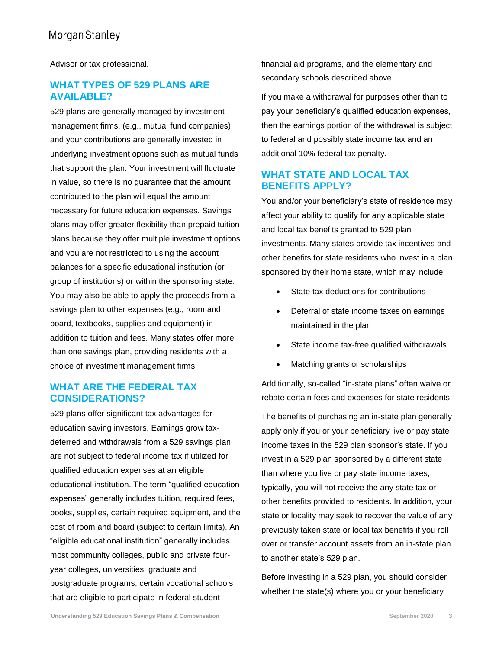Advisor or tax professional.

#### **WHAT TYPES OF 529 PLANS ARE AVAILABLE?**

529 plans are generally managed by investment management firms, (e.g., mutual fund companies) and your contributions are generally invested in underlying investment options such as mutual funds that support the plan. Your investment will fluctuate in value, so there is no guarantee that the amount contributed to the plan will equal the amount necessary for future education expenses. Savings plans may offer greater flexibility than prepaid tuition plans because they offer multiple investment options and you are not restricted to using the account balances for a specific educational institution (or group of institutions) or within the sponsoring state. You may also be able to apply the proceeds from a savings plan to other expenses (e.g., room and board, textbooks, supplies and equipment) in addition to tuition and fees. Many states offer more than one savings plan, providing residents with a choice of investment management firms.

#### **WHAT ARE THE FEDERAL TAX CONSIDERATIONS?**

529 plans offer significant tax advantages for education saving investors. Earnings grow taxdeferred and withdrawals from a 529 savings plan are not subject to federal income tax if utilized for qualified education expenses at an eligible educational institution. The term "qualified education expenses" generally includes tuition, required fees, books, supplies, certain required equipment, and the cost of room and board (subject to certain limits). An "eligible educational institution" generally includes most community colleges, public and private fouryear colleges, universities, graduate and postgraduate programs, certain vocational schools that are eligible to participate in federal student

financial aid programs, and the elementary and secondary schools described above.

If you make a withdrawal for purposes other than to pay your beneficiary's qualified education expenses, then the earnings portion of the withdrawal is subject to federal and possibly state income tax and an additional 10% federal tax penalty.

#### **WHAT STATE AND LOCAL TAX BENEFITS APPLY?**

You and/or your beneficiary's state of residence may affect your ability to qualify for any applicable state and local tax benefits granted to 529 plan investments. Many states provide tax incentives and other benefits for state residents who invest in a plan sponsored by their home state, which may include:

- State tax deductions for contributions
- Deferral of state income taxes on earnings maintained in the plan
- State income tax-free qualified withdrawals
- Matching grants or scholarships

Additionally, so-called "in-state plans" often waive or rebate certain fees and expenses for state residents.

The benefits of purchasing an in-state plan generally apply only if you or your beneficiary live or pay state income taxes in the 529 plan sponsor's state. If you invest in a 529 plan sponsored by a different state than where you live or pay state income taxes, typically, you will not receive the any state tax or other benefits provided to residents. In addition, your state or locality may seek to recover the value of any previously taken state or local tax benefits if you roll over or transfer account assets from an in-state plan to another state's 529 plan.

Before investing in a 529 plan, you should consider whether the state(s) where you or your beneficiary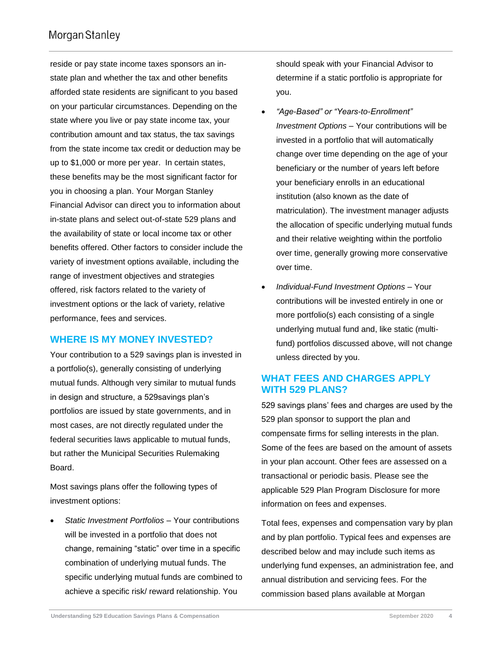reside or pay state income taxes sponsors an instate plan and whether the tax and other benefits afforded state residents are significant to you based on your particular circumstances. Depending on the state where you live or pay state income tax, your contribution amount and tax status, the tax savings from the state income tax credit or deduction may be up to \$1,000 or more per year. In certain states, these benefits may be the most significant factor for you in choosing a plan. Your Morgan Stanley Financial Advisor can direct you to information about in-state plans and select out-of-state 529 plans and the availability of state or local income tax or other benefits offered. Other factors to consider include the variety of investment options available, including the range of investment objectives and strategies offered, risk factors related to the variety of investment options or the lack of variety, relative performance, fees and services.

#### **WHERE IS MY MONEY INVESTED?**

Your contribution to a 529 savings plan is invested in a portfolio(s), generally consisting of underlying mutual funds. Although very similar to mutual funds in design and structure, a 529savings plan's portfolios are issued by state governments, and in most cases, are not directly regulated under the federal securities laws applicable to mutual funds, but rather the Municipal Securities Rulemaking Board.

Most savings plans offer the following types of investment options:

 *Static Investment Portfolios* – Your contributions will be invested in a portfolio that does not change, remaining "static" over time in a specific combination of underlying mutual funds. The specific underlying mutual funds are combined to achieve a specific risk/ reward relationship. You

should speak with your Financial Advisor to determine if a static portfolio is appropriate for you.

- *"Age-Based" or "Years-to-Enrollment" Investment Options* – Your contributions will be invested in a portfolio that will automatically change over time depending on the age of your beneficiary or the number of years left before your beneficiary enrolls in an educational institution (also known as the date of matriculation). The investment manager adjusts the allocation of specific underlying mutual funds and their relative weighting within the portfolio over time, generally growing more conservative over time.
- *Individual-Fund Investment Options* Your contributions will be invested entirely in one or more portfolio(s) each consisting of a single underlying mutual fund and, like static (multifund) portfolios discussed above, will not change unless directed by you.

#### **WHAT FEES AND CHARGES APPLY WITH 529 PLANS?**

529 savings plans' fees and charges are used by the 529 plan sponsor to support the plan and compensate firms for selling interests in the plan. Some of the fees are based on the amount of assets in your plan account. Other fees are assessed on a transactional or periodic basis. Please see the applicable 529 Plan Program Disclosure for more information on fees and expenses.

Total fees, expenses and compensation vary by plan and by plan portfolio. Typical fees and expenses are described below and may include such items as underlying fund expenses, an administration fee, and annual distribution and servicing fees. For the commission based plans available at Morgan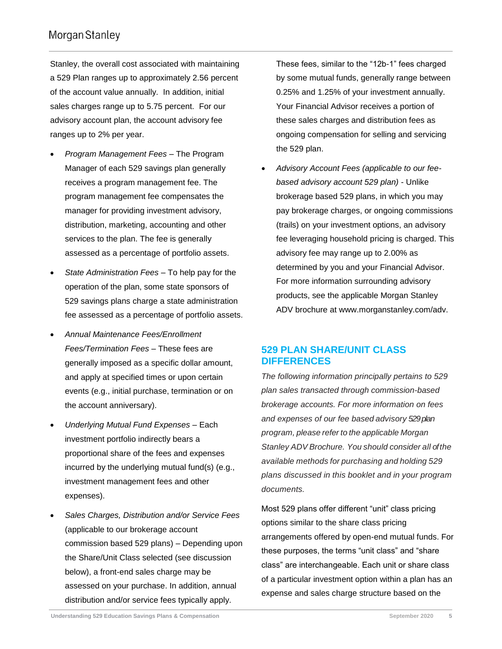Stanley, the overall cost associated with maintaining a 529 Plan ranges up to approximately 2.56 percent of the account value annually. In addition, initial sales charges range up to 5.75 percent. For our advisory account plan, the account advisory fee ranges up to 2% per year.

- *Program Management Fees –* The Program Manager of each 529 savings plan generally receives a program management fee. The program management fee compensates the manager for providing investment advisory, distribution, marketing, accounting and other services to the plan. The fee is generally assessed as a percentage of portfolio assets.
- *State Administration Fees*  To help pay for the operation of the plan, some state sponsors of 529 savings plans charge a state administration fee assessed as a percentage of portfolio assets.
- *Annual Maintenance Fees/Enrollment Fees/Termination Fees* – These fees are generally imposed as a specific dollar amount, and apply at specified times or upon certain events (e.g., initial purchase, termination or on the account anniversary).
- *Underlying Mutual Fund Expenses –* Each investment portfolio indirectly bears a proportional share of the fees and expenses incurred by the underlying mutual fund(s) (e.g., investment management fees and other expenses).
- *Sales Charges, Distribution and/or Service Fees* (applicable to our brokerage account commission based 529 plans) – Depending upon the Share/Unit Class selected (see discussion below), a front-end sales charge may be assessed on your purchase. In addition, annual distribution and/or service fees typically apply.

These fees, similar to the "12b-1" fees charged by some mutual funds, generally range between 0.25% and 1.25% of your investment annually. Your Financial Advisor receives a portion of these sales charges and distribution fees as ongoing compensation for selling and servicing the 529 plan.

 *Advisory Account Fees (applicable to our feebased advisory account 529 plan)* - Unlike brokerage based 529 plans, in which you may pay brokerage charges, or ongoing commissions (trails) on your investment options, an advisory fee leveraging household pricing is charged. This advisory fee may range up to 2.00% as determined by you and your Financial Advisor. For more information surrounding advisory products, see the applicable Morgan Stanley ADV brochure at www.morganstanley.com/adv.

#### **529 PLAN SHARE/UNIT CLASS DIFFERENCES**

*The following information principally pertains to 529 plan sales transacted through commission-based brokerage accounts. For more information on fees and expenses of our fee based advisory 529 plan program, please refer to the applicable Morgan Stanley ADV Brochure. You should consider all of the available methods for purchasing and holding 529 plans discussed in this booklet and in your program documents.*

Most 529 plans offer different "unit" class pricing options similar to the share class pricing arrangements offered by open-end mutual funds. For these purposes, the terms "unit class" and "share class" are interchangeable. Each unit or share class of a particular investment option within a plan has an expense and sales charge structure based on the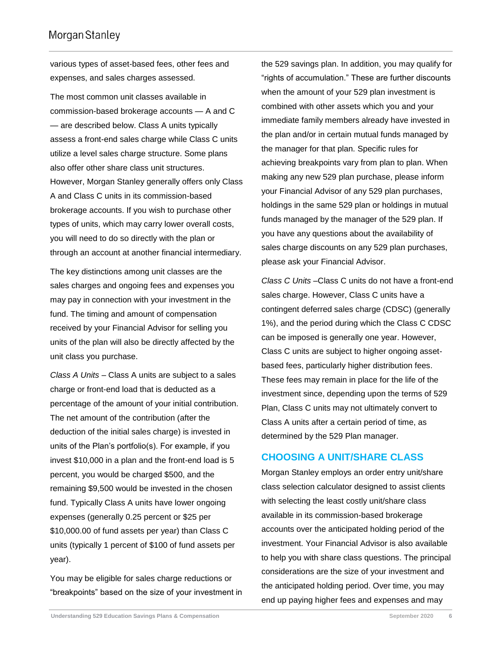various types of asset-based fees, other fees and expenses, and sales charges assessed.

The most common unit classes available in commission-based brokerage accounts — A and C — are described below. Class A units typically assess a front-end sales charge while Class C units utilize a level sales charge structure. Some plans also offer other share class unit structures. However, Morgan Stanley generally offers only Class A and Class C units in its commission-based brokerage accounts. If you wish to purchase other types of units, which may carry lower overall costs, you will need to do so directly with the plan or through an account at another financial intermediary.

The key distinctions among unit classes are the sales charges and ongoing fees and expenses you may pay in connection with your investment in the fund. The timing and amount of compensation received by your Financial Advisor for selling you units of the plan will also be directly affected by the unit class you purchase.

*Class A Units* – Class A units are subject to a sales charge or front-end load that is deducted as a percentage of the amount of your initial contribution. The net amount of the contribution (after the deduction of the initial sales charge) is invested in units of the Plan's portfolio(s). For example, if you invest \$10,000 in a plan and the front-end load is 5 percent, you would be charged \$500, and the remaining \$9,500 would be invested in the chosen fund. Typically Class A units have lower ongoing expenses (generally 0.25 percent or \$25 per \$10,000.00 of fund assets per year) than Class C units (typically 1 percent of \$100 of fund assets per year).

You may be eligible for sales charge reductions or "breakpoints" based on the size of your investment in the 529 savings plan. In addition, you may qualify for "rights of accumulation." These are further discounts when the amount of your 529 plan investment is combined with other assets which you and your immediate family members already have invested in the plan and/or in certain mutual funds managed by the manager for that plan. Specific rules for achieving breakpoints vary from plan to plan. When making any new 529 plan purchase, please inform your Financial Advisor of any 529 plan purchases, holdings in the same 529 plan or holdings in mutual funds managed by the manager of the 529 plan. If you have any questions about the availability of sales charge discounts on any 529 plan purchases, please ask your Financial Advisor.

*Class C Units* –Class C units do not have a front-end sales charge. However, Class C units have a contingent deferred sales charge (CDSC) (generally 1%), and the period during which the Class C CDSC can be imposed is generally one year. However, Class C units are subject to higher ongoing assetbased fees, particularly higher distribution fees. These fees may remain in place for the life of the investment since, depending upon the terms of 529 Plan, Class C units may not ultimately convert to Class A units after a certain period of time, as determined by the 529 Plan manager.

#### **CHOOSING A UNIT/SHARE CLASS**

Morgan Stanley employs an order entry unit/share class selection calculator designed to assist clients with selecting the least costly unit/share class available in its commission-based brokerage accounts over the anticipated holding period of the investment. Your Financial Advisor is also available to help you with share class questions. The principal considerations are the size of your investment and the anticipated holding period. Over time, you may end up paying higher fees and expenses and may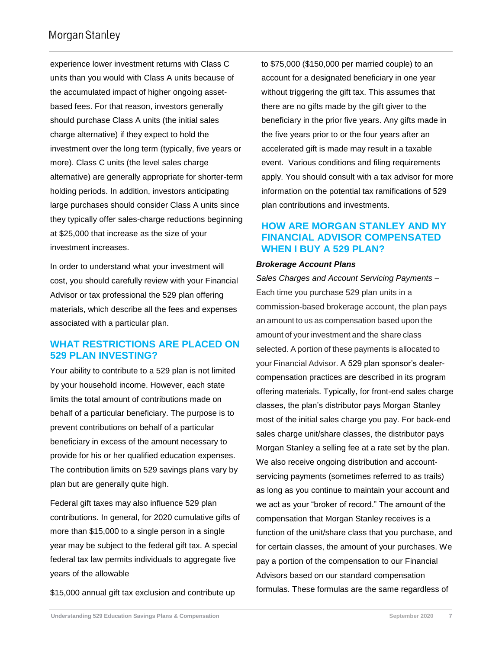experience lower investment returns with Class C units than you would with Class A units because of the accumulated impact of higher ongoing assetbased fees. For that reason, investors generally should purchase Class A units (the initial sales charge alternative) if they expect to hold the investment over the long term (typically, five years or more). Class C units (the level sales charge alternative) are generally appropriate for shorter-term holding periods. In addition, investors anticipating large purchases should consider Class A units since they typically offer sales-charge reductions beginning at \$25,000 that increase as the size of your investment increases.

In order to understand what your investment will cost, you should carefully review with your Financial Advisor or tax professional the 529 plan offering materials, which describe all the fees and expenses associated with a particular plan.

#### **WHAT RESTRICTIONS ARE PLACED ON 529 PLAN INVESTING?**

Your ability to contribute to a 529 plan is not limited by your household income. However, each state limits the total amount of contributions made on behalf of a particular beneficiary. The purpose is to prevent contributions on behalf of a particular beneficiary in excess of the amount necessary to provide for his or her qualified education expenses. The contribution limits on 529 savings plans vary by plan but are generally quite high.

Federal gift taxes may also influence 529 plan contributions. In general, for 2020 cumulative gifts of more than \$15,000 to a single person in a single year may be subject to the federal gift tax. A special federal tax law permits individuals to aggregate five years of the allowable

\$15,000 annual gift tax exclusion and contribute up

to \$75,000 (\$150,000 per married couple) to an account for a designated beneficiary in one year without triggering the gift tax. This assumes that there are no gifts made by the gift giver to the beneficiary in the prior five years. Any gifts made in the five years prior to or the four years after an accelerated gift is made may result in a taxable event. Various conditions and filing requirements apply. You should consult with a tax advisor for more information on the potential tax ramifications of 529 plan contributions and investments.

#### **HOW ARE MORGAN STANLEY AND MY FINANCIAL ADVISOR COMPENSATED WHEN I BUY A 529 PLAN?**

#### *Brokerage Account Plans*

*Sales Charges and Account Servicing Payments* – Each time you purchase 529 plan units in a commission-based brokerage account, the plan pays an amount to us as compensation based upon the amount of your investment and the share class selected. A portion of these payments is allocated to your Financial Advisor. A 529 plan sponsor's dealercompensation practices are described in its program offering materials. Typically, for front-end sales charge classes, the plan's distributor pays Morgan Stanley most of the initial sales charge you pay. For back-end sales charge unit/share classes, the distributor pays Morgan Stanley a selling fee at a rate set by the plan. We also receive ongoing distribution and accountservicing payments (sometimes referred to as trails) as long as you continue to maintain your account and we act as your "broker of record." The amount of the compensation that Morgan Stanley receives is a function of the unit/share class that you purchase, and for certain classes, the amount of your purchases. We pay a portion of the compensation to our Financial Advisors based on our standard compensation formulas. These formulas are the same regardless of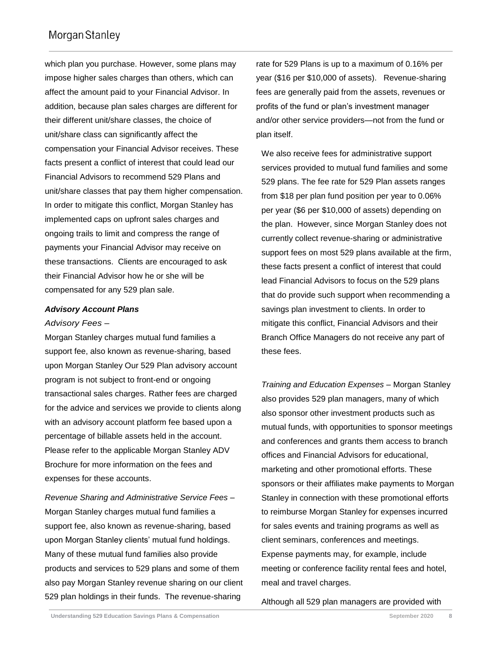which plan you purchase. However, some plans may impose higher sales charges than others, which can affect the amount paid to your Financial Advisor. In addition, because plan sales charges are different for their different unit/share classes, the choice of unit/share class can significantly affect the compensation your Financial Advisor receives. These facts present a conflict of interest that could lead our Financial Advisors to recommend 529 Plans and unit/share classes that pay them higher compensation. In order to mitigate this conflict, Morgan Stanley has implemented caps on upfront sales charges and ongoing trails to limit and compress the range of payments your Financial Advisor may receive on these transactions. Clients are encouraged to ask their Financial Advisor how he or she will be compensated for any 529 plan sale.

#### *Advisory Account Plans*

#### *Advisory Fees –*

Morgan Stanley charges mutual fund families a support fee, also known as revenue-sharing, based upon Morgan Stanley Our 529 Plan advisory account program is not subject to front-end or ongoing transactional sales charges. Rather fees are charged for the advice and services we provide to clients along with an advisory account platform fee based upon a percentage of billable assets held in the account. Please refer to the applicable Morgan Stanley ADV Brochure for more information on the fees and expenses for these accounts.

*Revenue Sharing and Administrative Service Fees –* Morgan Stanley charges mutual fund families a support fee, also known as revenue-sharing, based upon Morgan Stanley clients' mutual fund holdings. Many of these mutual fund families also provide products and services to 529 plans and some of them also pay Morgan Stanley revenue sharing on our client 529 plan holdings in their funds. The revenue-sharing

rate for 529 Plans is up to a maximum of 0.16% per year (\$16 per \$10,000 of assets). Revenue-sharing fees are generally paid from the assets, revenues or profits of the fund or plan's investment manager and/or other service providers—not from the fund or plan itself.

We also receive fees for administrative support services provided to mutual fund families and some 529 plans. The fee rate for 529 Plan assets ranges from \$18 per plan fund position per year to 0.06% per year (\$6 per \$10,000 of assets) depending on the plan. However, since Morgan Stanley does not currently collect revenue-sharing or administrative support fees on most 529 plans available at the firm, these facts present a conflict of interest that could lead Financial Advisors to focus on the 529 plans that do provide such support when recommending a savings plan investment to clients. In order to mitigate this conflict, Financial Advisors and their Branch Office Managers do not receive any part of these fees.

*Training and Education Expenses –* Morgan Stanley also provides 529 plan managers, many of which also sponsor other investment products such as mutual funds, with opportunities to sponsor meetings and conferences and grants them access to branch offices and Financial Advisors for educational, marketing and other promotional efforts. These sponsors or their affiliates make payments to Morgan Stanley in connection with these promotional efforts to reimburse Morgan Stanley for expenses incurred for sales events and training programs as well as client seminars, conferences and meetings. Expense payments may, for example, include meeting or conference facility rental fees and hotel, meal and travel charges.

Although all 529 plan managers are provided with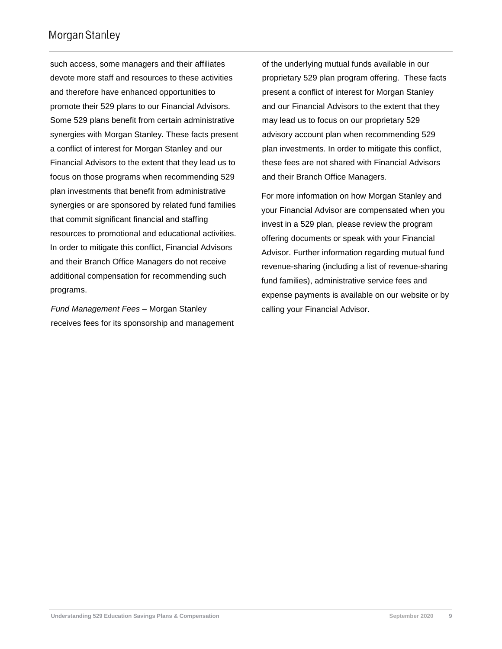such access, some managers and their affiliates devote more staff and resources to these activities and therefore have enhanced opportunities to promote their 529 plans to our Financial Advisors. Some 529 plans benefit from certain administrative synergies with Morgan Stanley. These facts present a conflict of interest for Morgan Stanley and our Financial Advisors to the extent that they lead us to focus on those programs when recommending 529 plan investments that benefit from administrative synergies or are sponsored by related fund families that commit significant financial and staffing resources to promotional and educational activities. In order to mitigate this conflict, Financial Advisors and their Branch Office Managers do not receive additional compensation for recommending such programs.

*Fund Management Fees –* Morgan Stanley receives fees for its sponsorship and management of the underlying mutual funds available in our proprietary 529 plan program offering. These facts present a conflict of interest for Morgan Stanley and our Financial Advisors to the extent that they may lead us to focus on our proprietary 529 advisory account plan when recommending 529 plan investments. In order to mitigate this conflict, these fees are not shared with Financial Advisors and their Branch Office Managers.

For more information on how Morgan Stanley and your Financial Advisor are compensated when you invest in a 529 plan, please review the program offering documents or speak with your Financial Advisor. Further information regarding mutual fund revenue-sharing (including a list of revenue-sharing fund families), administrative service fees and expense payments is available on our website or by calling your Financial Advisor.